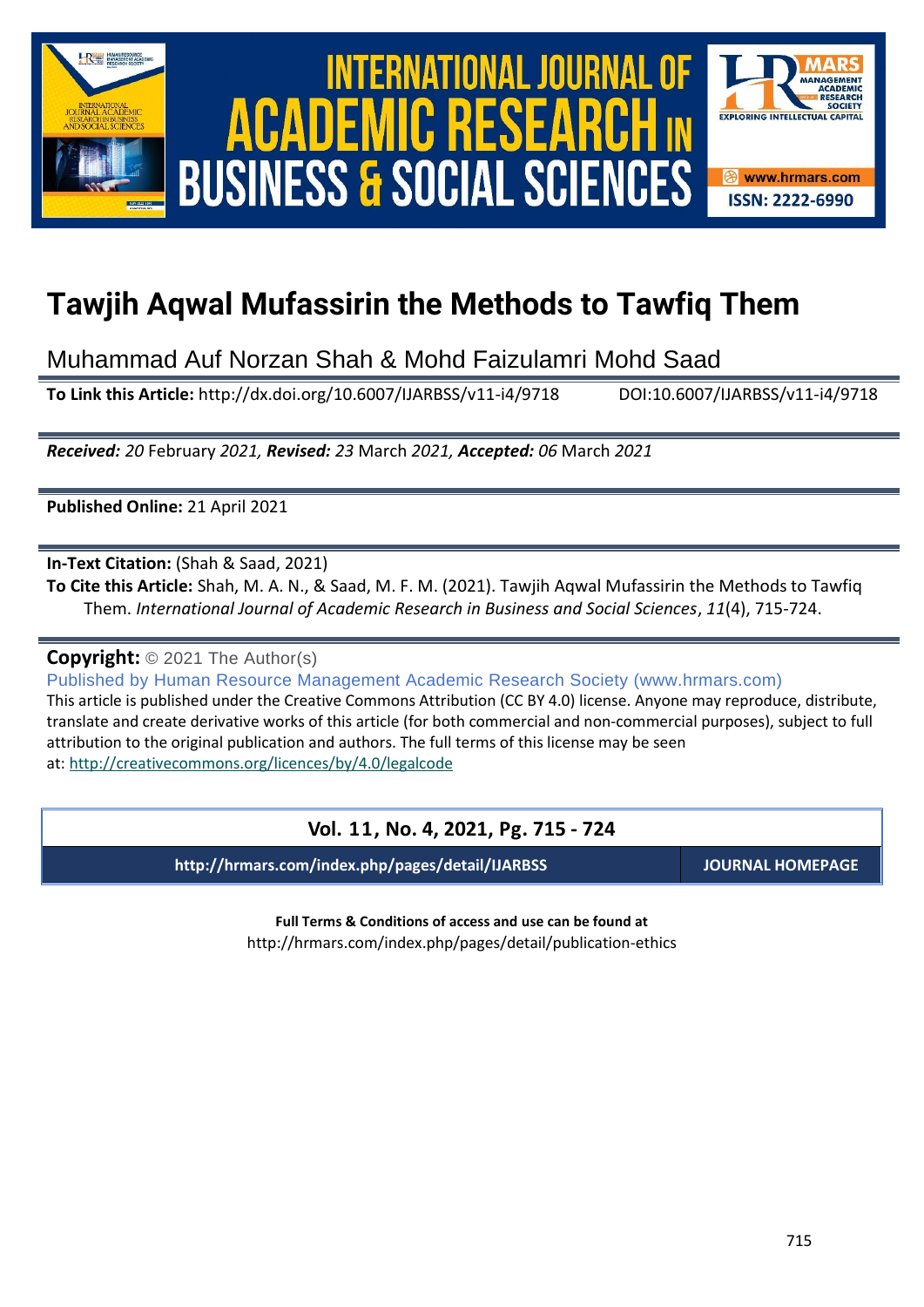

International Journal of Academic Research in Business and Social Sciences **Vol. 1 1 , No. 4, 2021, E-ISSN: 2222-6990 © 2021 HRMARS** ACADEMIC **BUSINESS & SOCIAL SCIENCES** 



# **Tawjih Aqwal Mufassirin the Methods to Tawfiq Them**

Muhammad Auf Norzan Shah & Mohd Faizulamri Mohd Saad

**To Link this Article:** http://dx.doi.org/10.6007/IJARBSS/v11-i4/9718 DOI:10.6007/IJARBSS/v11-i4/9718

*Received: 20* February *2021, Revised: 23* March *2021, Accepted: 06* March *2021*

**Published Online:** 21 April 2021

**In-Text Citation:** (Shah & Saad, 2021)

**To Cite this Article:** Shah, M. A. N., & Saad, M. F. M. (2021). Tawjih Aqwal Mufassirin the Methods to Tawfiq Them. *International Journal of Academic Research in Business and Social Sciences*, *11*(4), 715-724.

**Copyright:** © 2021 The Author(s)

Published by Human Resource Management Academic Research Society (www.hrmars.com) This article is published under the Creative Commons Attribution (CC BY 4.0) license. Anyone may reproduce, distribute, translate and create derivative works of this article (for both commercial and non-commercial purposes), subject to full attribution to the original publication and authors. The full terms of this license may be seen at: <http://creativecommons.org/licences/by/4.0/legalcode>

## **Vol. 11, No. 4, 2021, Pg. 715 - 724**

**http://hrmars.com/index.php/pages/detail/IJARBSS JOURNAL HOMEPAGE**

**Full Terms & Conditions of access and use can be found at** http://hrmars.com/index.php/pages/detail/publication-ethics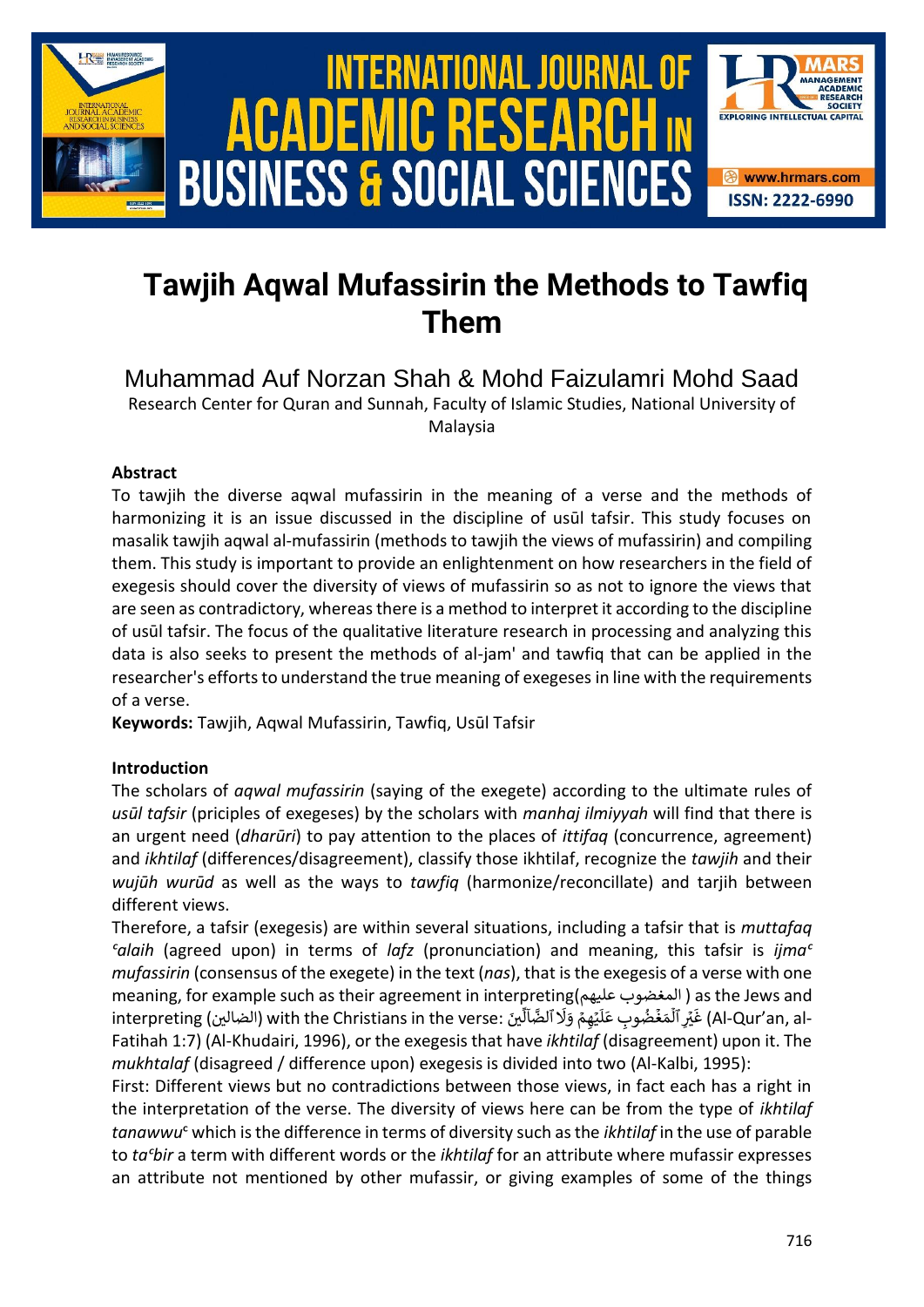

## **Tawjih Aqwal Mufassirin the Methods to Tawfiq Them**

Muhammad Auf Norzan Shah & Mohd Faizulamri Mohd Saad Research Center for Quran and Sunnah, Faculty of Islamic Studies, National University of Malaysia

## **Abstract**

To tawjih the diverse aqwal mufassirin in the meaning of a verse and the methods of harmonizing it is an issue discussed in the discipline of usūl tafsir. This study focuses on masalik tawjih aqwal al-mufassirin (methods to tawjih the views of mufassirin) and compiling them. This study is important to provide an enlightenment on how researchers in the field of exegesis should cover the diversity of views of mufassirin so as not to ignore the views that are seen as contradictory, whereas there is a method to interpret it according to the discipline of usūl tafsir. The focus of the qualitative literature research in processing and analyzing this data is also seeks to present the methods of al-jam' and tawfiq that can be applied in the researcher's efforts to understand the true meaning of exegeses in line with the requirements of a verse.

**Keywords:** Tawjih, Aqwal Mufassirin, Tawfiq, Usūl Tafsir

## **Introduction**

The scholars of *aqwal mufassirin* (saying of the exegete) according to the ultimate rules of *usūl tafsir* (priciples of exegeses) by the scholars with *manhaj ilmiyyah* will find that there is an urgent need (*dharūri*) to pay attention to the places of *ittifaq* (concurrence, agreement) and *ikhtilaf* (differences/disagreement), classify those ikhtilaf, recognize the *tawjih* and their *wujūh wurūd* as well as the ways to *tawfiq* (harmonize/reconcillate) and tarjih between different views.

Therefore, a tafsir (exegesis) are within several situations, including a tafsir that is *muttafaq ᶜalaih* (agreed upon) in terms of *lafz* (pronunciation) and meaning, this tafsir is *ijmaᶜ mufassirin* (consensus of the exegete) in the text (*nas*), that is the exegesis of a verse with one meaning, for example such as their agreement in interpreting)عليهم المغضوب ( as the Jews and interpreting (الضالين) with the Christians in the verse: آلينّ u Etin<br>ِلَا ٱلضَّاَلِّ ِیم ٔ وَلَا<br>یَهِمۡ وَلَا ۔<br>آ ..<br>مَغۡضُوبِ عَلَ ں<br>آ as the sews and المسلم<br>-Al-Qur'an, al) غَيۡرِ ٱلۡ Fatihah 1:7) (Al-Khudairi, 1996), or the exegesis that have *ikhtilaf* (disagreement) upon it. The *mukhtalaf* (disagreed / difference upon) exegesis is divided into two (Al-Kalbi, 1995):

First: Different views but no contradictions between those views, in fact each has a right in the interpretation of the verse. The diversity of views here can be from the type of *ikhtilaf tanawwu*ᶜ which is the difference in terms of diversity such as the *ikhtilaf* in the use of parable to *taᶜbir* a term with different words or the *ikhtilaf* for an attribute where mufassir expresses an attribute not mentioned by other mufassir, or giving examples of some of the things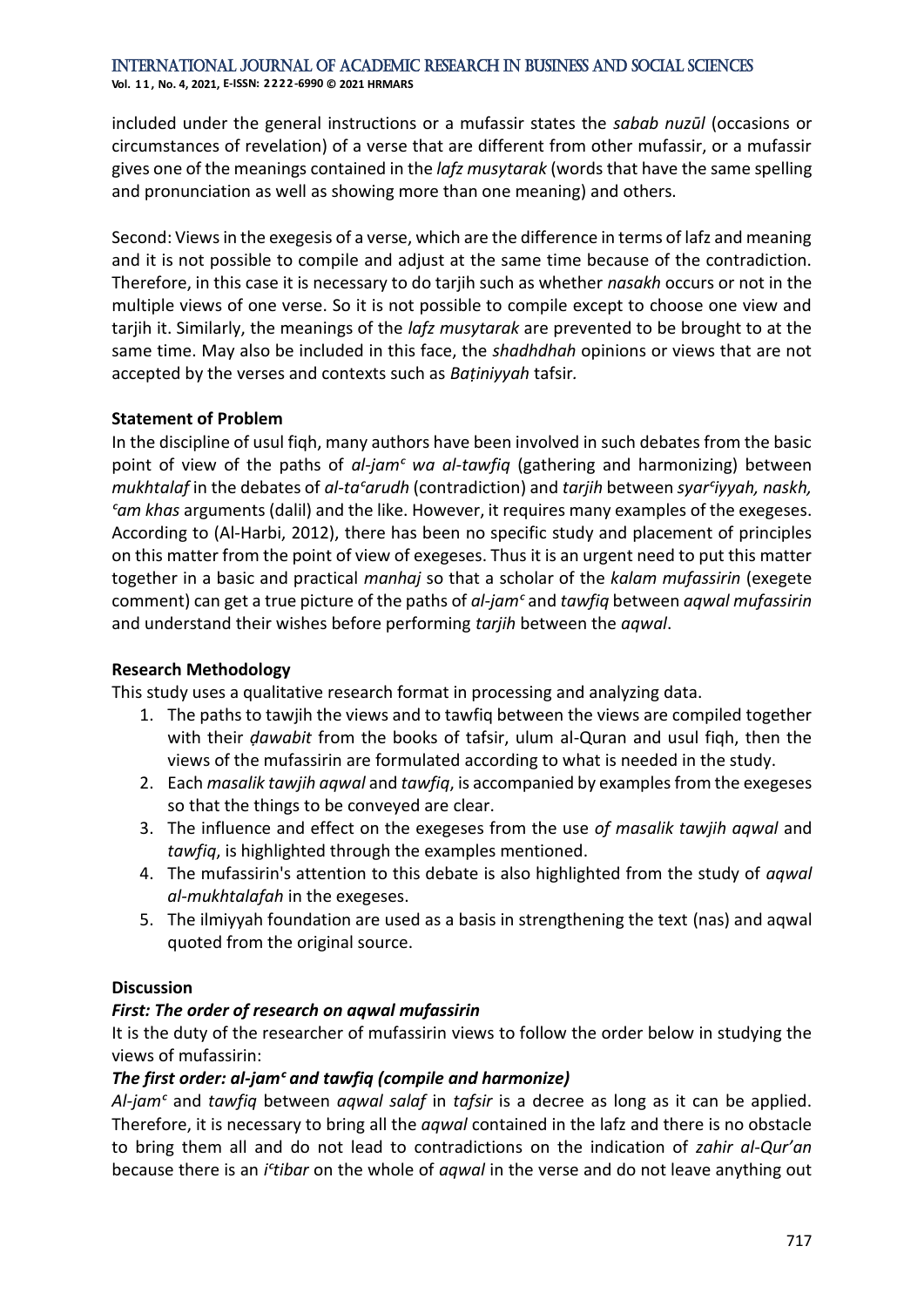**Vol. 1 1 , No. 4, 2021, E-ISSN: 2222-6990 © 2021 HRMARS**

included under the general instructions or a mufassir states the *sabab nuzūl* (occasions or circumstances of revelation) of a verse that are different from other mufassir, or a mufassir gives one of the meanings contained in the *lafz musytarak* (words that have the same spelling and pronunciation as well as showing more than one meaning) and others.

Second: Views in the exegesis of a verse, which are the difference in terms of lafz and meaning and it is not possible to compile and adjust at the same time because of the contradiction. Therefore, in this case it is necessary to do tarjih such as whether *nasakh* occurs or not in the multiple views of one verse. So it is not possible to compile except to choose one view and tarjih it. Similarly, the meanings of the *lafz musytarak* are prevented to be brought to at the same time. May also be included in this face, the *shadhdhah* opinions or views that are not accepted by the verses and contexts such as *Baṭiniyyah* tafsir*.*

## **Statement of Problem**

In the discipline of usul fiqh, many authors have been involved in such debates from the basic point of view of the paths of *al-jamᶜ wa al-tawfiq* (gathering and harmonizing) between *mukhtalaf* in the debates of *al-taᶜarudh* (contradiction) and *tarjih* between *syarᶜiyyah, naskh, ᶜam khas* arguments (dalil) and the like. However, it requires many examples of the exegeses. According to (Al-Harbi, 2012), there has been no specific study and placement of principles on this matter from the point of view of exegeses. Thus it is an urgent need to put this matter together in a basic and practical *manhaj* so that a scholar of the *kalam mufassirin* (exegete comment) can get a true picture of the paths of *al-jamᶜ* and *tawfiq* between *aqwal mufassirin* and understand their wishes before performing *tarjih* between the *aqwal*.

## **Research Methodology**

This study uses a qualitative research format in processing and analyzing data.

- 1. The paths to tawjih the views and to tawfiq between the views are compiled together with their *ḍawabit* from the books of tafsir, ulum al-Quran and usul fiqh, then the views of the mufassirin are formulated according to what is needed in the study.
- 2. Each *masalik tawjih aqwal* and *tawfiq*, is accompanied by examples from the exegeses so that the things to be conveyed are clear.
- 3. The influence and effect on the exegeses from the use *of masalik tawjih aqwal* and *tawfiq*, is highlighted through the examples mentioned.
- 4. The mufassirin's attention to this debate is also highlighted from the study of *aqwal al-mukhtalafah* in the exegeses.
- 5. The ilmiyyah foundation are used as a basis in strengthening the text (nas) and aqwal quoted from the original source.

## **Discussion**

## *First: The order of research on aqwal mufassirin*

It is the duty of the researcher of mufassirin views to follow the order below in studying the views of mufassirin:

## *The first order: al-jamᶜ and tawfiq (compile and harmonize)*

*Al-jamᶜ* and *tawfiq* between *aqwal salaf* in *tafsir* is a decree as long as it can be applied. Therefore, it is necessary to bring all the *aqwal* contained in the lafz and there is no obstacle to bring them all and do not lead to contradictions on the indication of *zahir al-Qur'an*  because there is an *iᶜtibar* on the whole of *aqwal* in the verse and do not leave anything out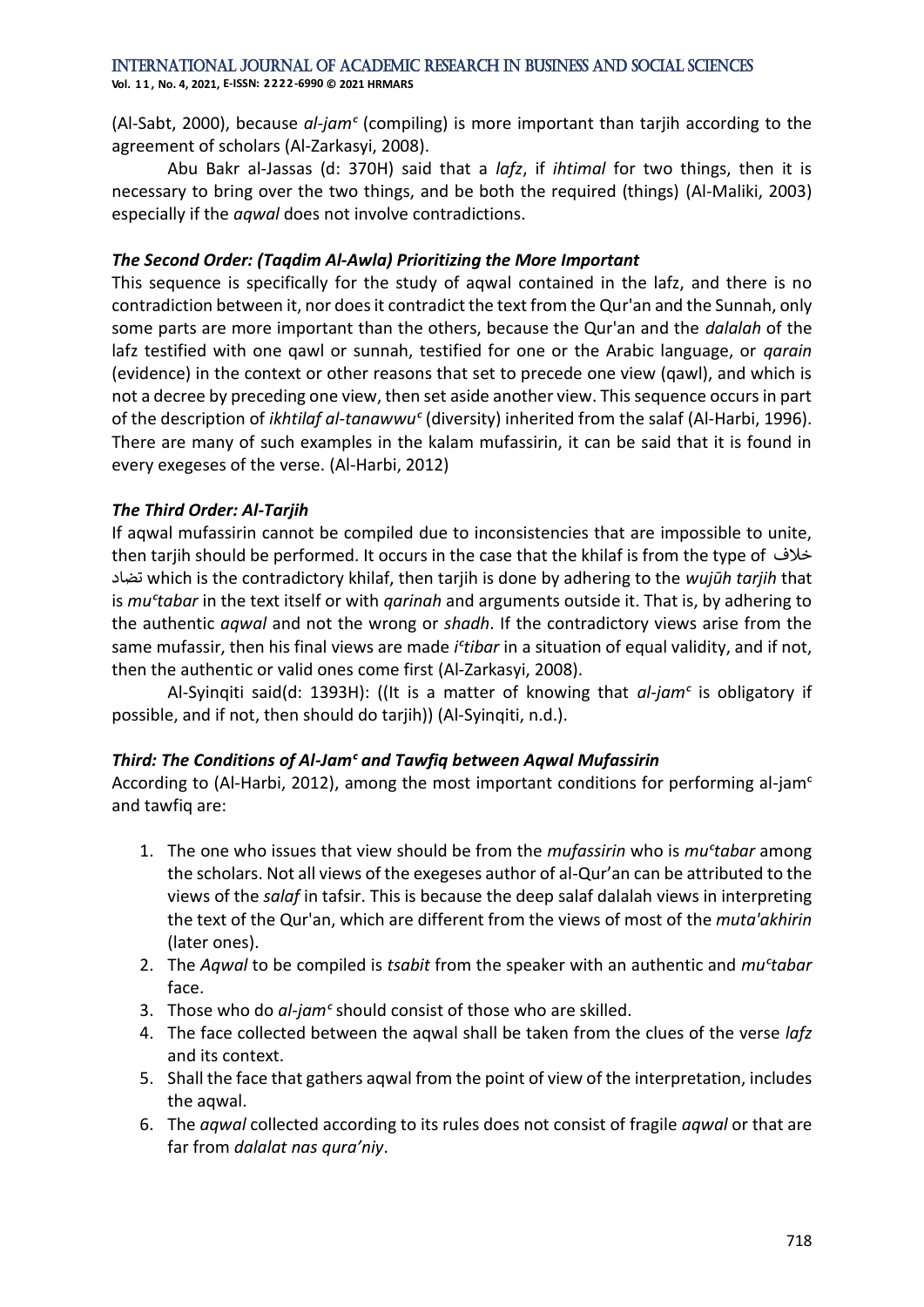**Vol. 1 1 , No. 4, 2021, E-ISSN: 2222-6990 © 2021 HRMARS**

(Al-Sabt, 2000), because *al-jamᶜ* (compiling) is more important than tarjih according to the agreement of scholars (Al-Zarkasyi, 2008).

Abu Bakr al-Jassas (d: 370H) said that a *lafz*, if *ihtimal* for two things, then it is necessary to bring over the two things, and be both the required (things) (Al-Maliki, 2003) especially if the *aqwal* does not involve contradictions.

### *The Second Order: (Taqdim Al-Awla) Prioritizing the More Important*

This sequence is specifically for the study of aqwal contained in the lafz, and there is no contradiction between it, nor does it contradict the text from the Qur'an and the Sunnah, only some parts are more important than the others, because the Qur'an and the *dalalah* of the lafz testified with one qawl or sunnah, testified for one or the Arabic language, or *qarain* (evidence) in the context or other reasons that set to precede one view (qawl), and which is not a decree by preceding one view, then set aside another view. This sequence occurs in part of the description of *ikhtilaf al-tanawwu<sup>c</sup>* (diversity) inherited from the salaf (Al-Harbi, 1996). There are many of such examples in the kalam mufassirin, it can be said that it is found in every exegeses of the verse. (Al-Harbi, 2012)

## *The Third Order: Al-Tarjih*

If aqwal mufassirin cannot be compiled due to inconsistencies that are impossible to unite, then tarjih should be performed. It occurs in the case that the khilaf is from the type of خالف تضاد which is the contradictory khilaf, then tarjih is done by adhering to the *wujūh tarjih* that is *muᶜtabar* in the text itself or with *qarinah* and arguments outside it. That is, by adhering to the authentic *aqwal* and not the wrong or *shadh*. If the contradictory views arise from the same mufassir, then his final views are made *i<sup>c</sup>tibar* in a situation of equal validity, and if not, then the authentic or valid ones come first (Al-Zarkasyi, 2008).

Al-Syinqiti said(d: 1393H): ((It is a matter of knowing that *al-jamᶜ* is obligatory if possible, and if not, then should do tarjih)) (Al-Syinqiti, n.d.).

## *Third: The Conditions of Al-Jamᶜ and Tawfiq between Aqwal Mufassirin*

According to (Al-Harbi, 2012), among the most important conditions for performing al-jam<sup>c</sup> and tawfiq are:

- 1. The one who issues that view should be from the *mufassirin* who is *muᶜtabar* among the scholars. Not all views of the exegeses author of al-Qur'an can be attributed to the views of the *salaf* in tafsir. This is because the deep salaf dalalah views in interpreting the text of the Qur'an, which are different from the views of most of the *muta'akhirin* (later ones).
- 2. The *Aqwal* to be compiled is *tsabit* from the speaker with an authentic and *muᶜtabar* face.
- 3. Those who do *al-jamᶜ* should consist of those who are skilled.
- 4. The face collected between the aqwal shall be taken from the clues of the verse *lafz* and its context.
- 5. Shall the face that gathers aqwal from the point of view of the interpretation, includes the aqwal.
- 6. The *aqwal* collected according to its rules does not consist of fragile *aqwal* or that are far from *dalalat nas qura'niy*.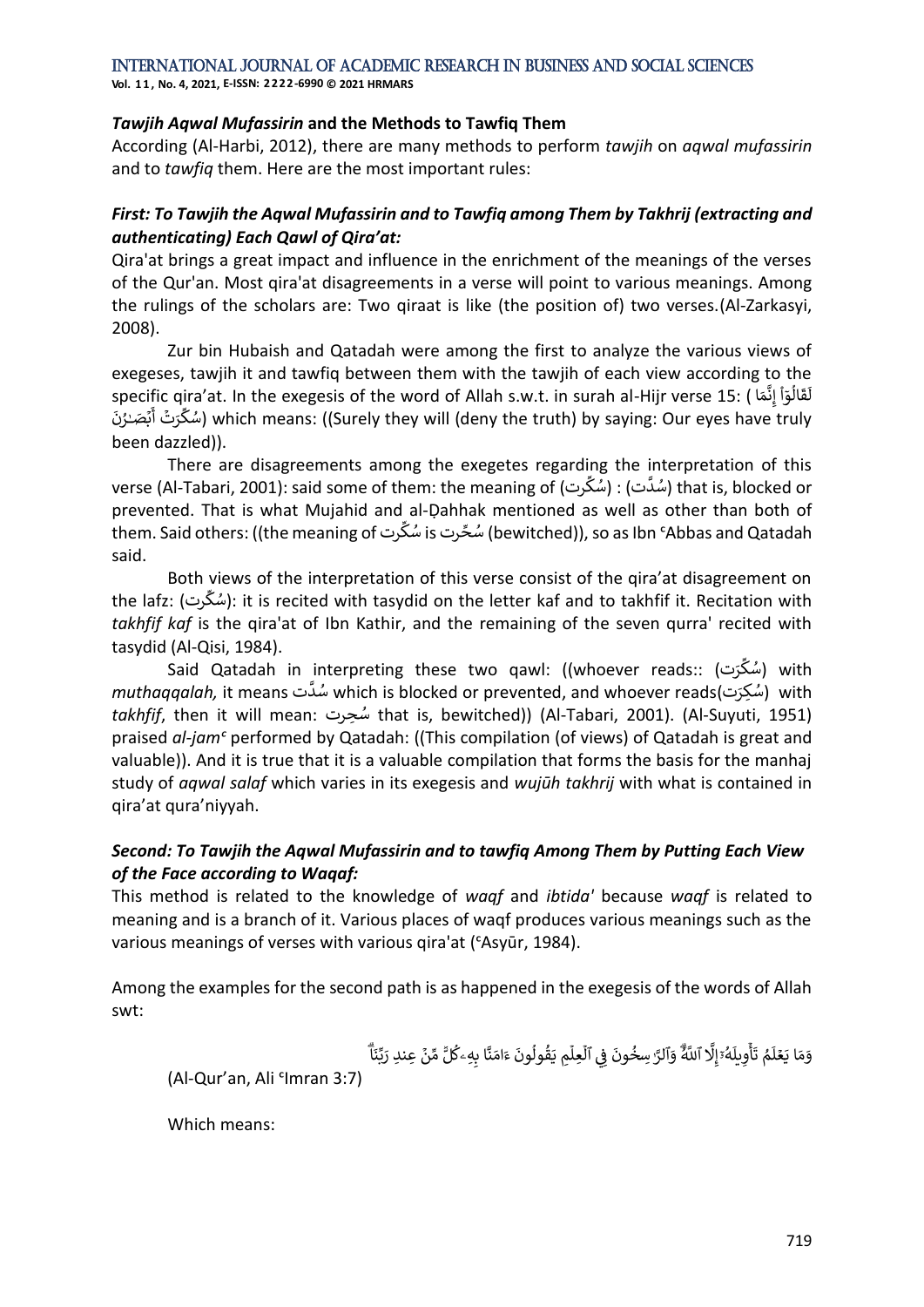**Vol. 1 1 , No. 4, 2021, E-ISSN: 2222-6990 © 2021 HRMARS**

#### *Tawjih Aqwal Mufassirin* **and the Methods to Tawfiq Them**

According (Al-Harbi, 2012), there are many methods to perform *tawjih* on *aqwal mufassirin* and to *tawfiq* them. Here are the most important rules:

## *First: To Tawjih the Aqwal Mufassirin and to Tawfiq among Them by Takhrij (extracting and authenticating) Each Qawl of Qira'at:*

Qira'at brings a great impact and influence in the enrichment of the meanings of the verses of the Qur'an. Most qira'at disagreements in a verse will point to various meanings. Among the rulings of the scholars are: Two qiraat is like (the position of) two verses.(Al-Zarkasyi, 2008).

Zur bin Hubaish and Qatadah were among the first to analyze the various views of exegeses, tawjih it and tawfiq between them with the tawjih of each view according to the exegeses, tawjin it and tawild setween them with the tawjin or each view accoraing to the<br>قَالُوٓاْ إِنَّمَا ) :19 specific qira'at. In the exegesis of the word of Allah s.w.t. in surah al-Hijr verse ।<br>१ .<br>آ sies, tawjin it and tawnq between them with the tawjin or each view according to the<br>لَقَالُوٓاْ إِنَّمَا ) :15 fic qira'at. In the exegesis of the word of Allah s.w.t. in surah al-Hijr verse إ ֦֧ ا speeme qr<br>كِّرَتۡ أَبۡصَـٰرُٰنَ َٰ أ ك ُس (which means: ((Surely they will (deny the truth) by saying: Our eyes have truly been dazzled)).

There are disagreements among the exegetes regarding the interpretation of this verse (Al-Tabari, 2001): said some of them: the meaning of )رت ِّ mg the merpretation or tims<br>(سُدَّت) : (سُکِّ prevented. That is what Mujahid and al-Ḍahhak mentioned as well as other than both of them. Said others: ((the meaning of رت ِّ .<br>شُحِّرت is سُكِّ (bewitched)), so as Ibn ˁAbbas and Qatadah said.

Both views of the interpretation of this verse consist of the qira'at disagreement on the lafz: )رت ِّ ك ُس): it is recited with tasydid on the letter kaf and to takhfif it. Recitation with *takhfif kaf* is the qira'at of Ibn Kathir, and the remaining of the seven qurra' recited with tasydid (Al-Qisi, 1984).

جمحر, رجاح).<br>Said Qatadah in interpreting these two qawl: ((whoever reads:: کُرَت) سُگّ with ستوم السومي المستورية المستورية المستورية المستورية المستورية المستورية المستورية المستورية المستورية المستورية<br>استروت with (سُکِرَت) with ( shocked or prevented, and whoever reads *takhfif*, then it will mean: حرتِ ُس that is, bewitched)) (Al-Tabari, 2001). (Al-Suyuti, 1951) praised *al-jamᶜ* performed by Qatadah: ((This compilation (of views) of Qatadah is great and valuable)). And it is true that it is a valuable compilation that forms the basis for the manhaj study of *aqwal salaf* which varies in its exegesis and *wujūh takhrij* with what is contained in qira'at qura'niyyah.

## *Second: To Tawjih the Aqwal Mufassirin and to tawfiq Among Them by Putting Each View of the Face according to Waqaf:*

This method is related to the knowledge of *waqf* and *ibtida'* because *waqf* is related to meaning and is a branch of it. Various places of waqf produces various meanings such as the various meanings of verses with various qira'at (ᶜAsyūr, 1984).

Among the examples for the second path is as happened in the exegesis of the words of Allah swt:

ِّ ب َ ِعنِد ر ر ن ِّ م ّٞ ل ُ ِهۦك ِ ا ب َّ ن َ ام َ ء َ ون ُ ول ُ ق َ ِم ي ۡ ِعل ۡ ٱل ِي ن ف َ ون ُ ِسخ َٰ ٱلرَّ َ و ٱّلل َ ُُۗ َّ َِل إ ۥ ُ ه َ يل ِ و ۡ أ َ ت ُ م َ ل ر ع َ ا ي َ م َ و ُۗ ا َ ن

(Al-Qur'an, Ali <sup>c</sup>Imran 3:7)

Which means: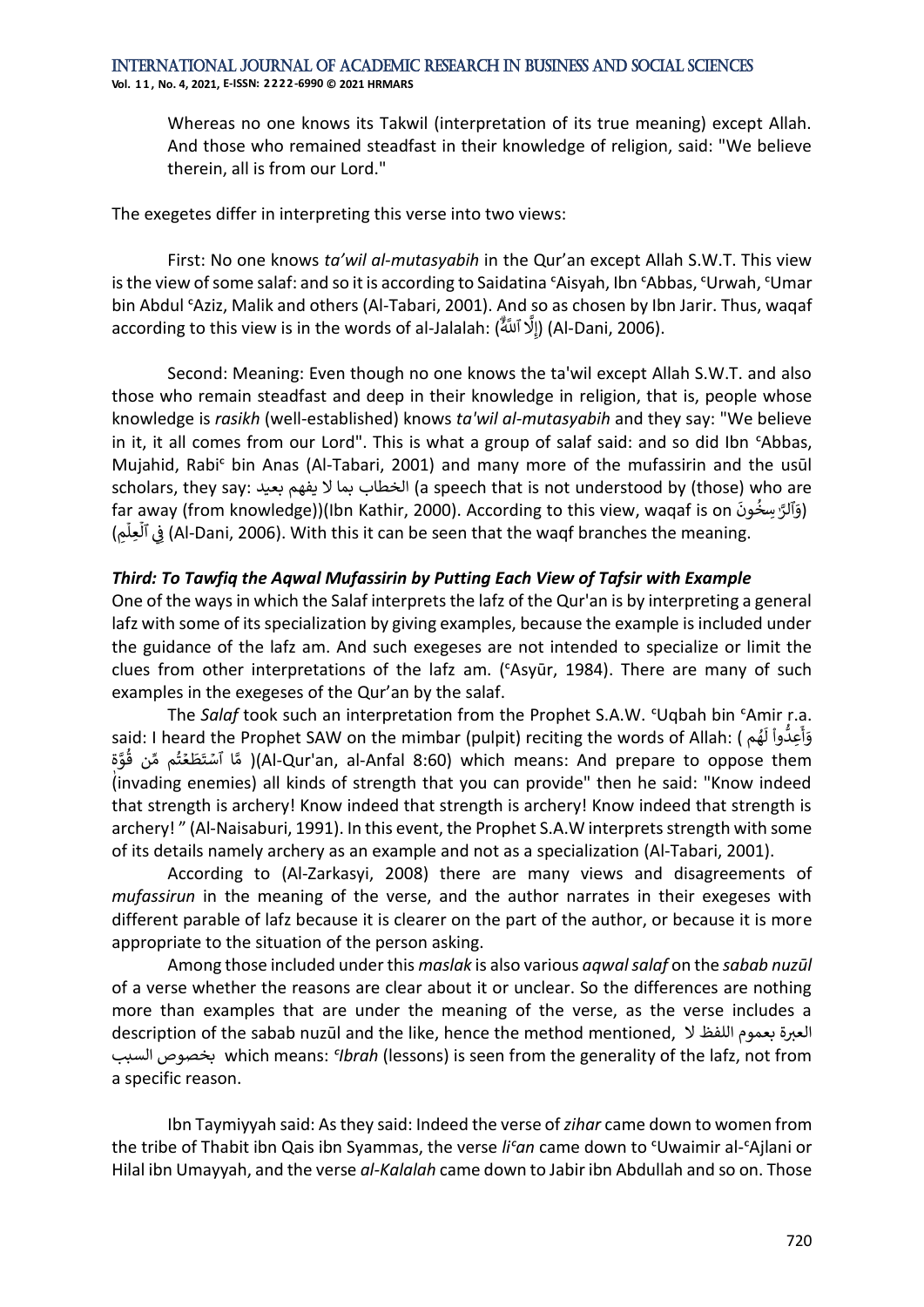**Vol. 1 1 , No. 4, 2021, E-ISSN: 2222-6990 © 2021 HRMARS**

Whereas no one knows its Takwil (interpretation of its true meaning) except Allah. And those who remained steadfast in their knowledge of religion, said: "We believe therein, all is from our Lord."

The exegetes differ in interpreting this verse into two views:

First: No one knows *ta'wil al-mutasyabih* in the Qur'an except Allah S.W.T. This view is the view of some salaf: and so it is according to Saidatina ᶜAisyah, Ibn ᶜAbbas, ᶜUrwah, ᶜUmar bin Abdul <sup>c</sup>Aziz, Malik and others (Al-Tabari, 2001). And so as chosen by Ibn Jarir. Thus, waqaf according to this view is in the words of al-Jalalah: (أَدْ ٱللَّٰهُ ُّلِّ اللَّٰهُ ُّلِّہِ الْعَامَ َِل إ) )Al-Dani, 2006).

Second: Meaning: Even though no one knows the ta'wil except Allah S.W.T. and also those who remain steadfast and deep in their knowledge in religion, that is, people whose knowledge is *rasikh* (well-established) knows *ta'wil al-mutasyabih* and they say: "We believe in it, it all comes from our Lord". This is what a group of salaf said: and so did Ibn *'Abbas*, Mujahid, Rabiᶜ bin Anas (Al-Tabari, 2001) and many more of the mufassirin and the usūl scholars, they say: بعيد يفهم ال بما الخطاب) a speech that is not understood by (those) who are far away (from knowledge))(Ibn Kathir, 2000). According to this view, waqaf is on َ ون ِسخ ٱلرَّ َ )و .<br>• ؚ ِم( י<br>أ ِعل ان<br>آ َفِي ٱلْأَلِمِ (Al-Dani, 2006). With this it can be seen that the waqf branches the meaning. ن

## *Third: To Tawfiq the Aqwal Mufassirin by Putting Each View of Tafsir with Example*

One of the ways in which the Salaf interprets the lafz of the Qur'an is by interpreting a general lafz with some of its specialization by giving examples, because the example is included under the guidance of the lafz am. And such exegeses are not intended to specialize or limit the clues from other interpretations of the lafz am. (ᶜAsyūr, 1984). There are many of such examples in the exegeses of the Qur'an by the salaf.

The *Salaf* took such an interpretation from the Prophet S.A.W. 'Uqbah bin 'Amir r.a. said: I heard the Prophet SAW on the mimbar (pulpit) reciting the words of Allah: ( م ه و<br>م ً<br>آ .... ....<br>وَأَعِدُّواْ لَـ ֦֧֦֧֦֧֦֧ أ ֖֖֖֖֧֧֧֧֧ׅ֧֧ׅ֧֧֚֚֚֚֚֚֚֚֚֚֚֚֚֚֚֚֚֚֚֚֚֚֚֚֡֝֟֓֡֟֓֝֬֝֓֞֝֬֜֓֓֝֬֜֓֝֬ تَّقَافِ قَبْلَ الْمَامَات (paper), التَّاسُمَات التَّامَة اللَّهُ الْمَامَة اللَّهُ مَّنْ قُوَّة uan means the<br>Al-Qur'an, al-Anfal 8:60) which means: And prepare to oppose them( مَّا آَسْتَطَعْتُمْ مِّن قُوَّة ا<br>؛ ُ (invading enemies) all kinds of strength that you can provide" then he said: "Know indeed that strength is archery! Know indeed that strength is archery! Know indeed that strength is archery! " (Al-Naisaburi, 1991). In this event, the Prophet S.A.W interprets strength with some of its details namely archery as an example and not as a specialization (Al-Tabari, 2001).

According to (Al-Zarkasyi, 2008) there are many views and disagreements of *mufassirun* in the meaning of the verse, and the author narrates in their exegeses with different parable of lafz because it is clearer on the part of the author, or because it is more appropriate to the situation of the person asking.

Among those included under this *maslak* is also various *aqwal salaf* on the *sabab nuzūl* of a verse whether the reasons are clear about it or unclear. So the differences are nothing more than examples that are under the meaning of the verse, as the verse includes a description of the sabab nuzūl and the like, hence the method mentioned, العبرة بعموم اللفظ لا السبب بخصوص which means: *ᶜIbrah* (lessons) is seen from the generality of the lafz, not from a specific reason.

Ibn Taymiyyah said: As they said: Indeed the verse of *zihar* came down to women from the tribe of Thabit ibn Qais ibn Syammas, the verse *liᶜan* came down to ᶜUwaimir al-ᶜAjlani or Hilal ibn Umayyah, and the verse *al-Kalalah* came down to Jabir ibn Abdullah and so on. Those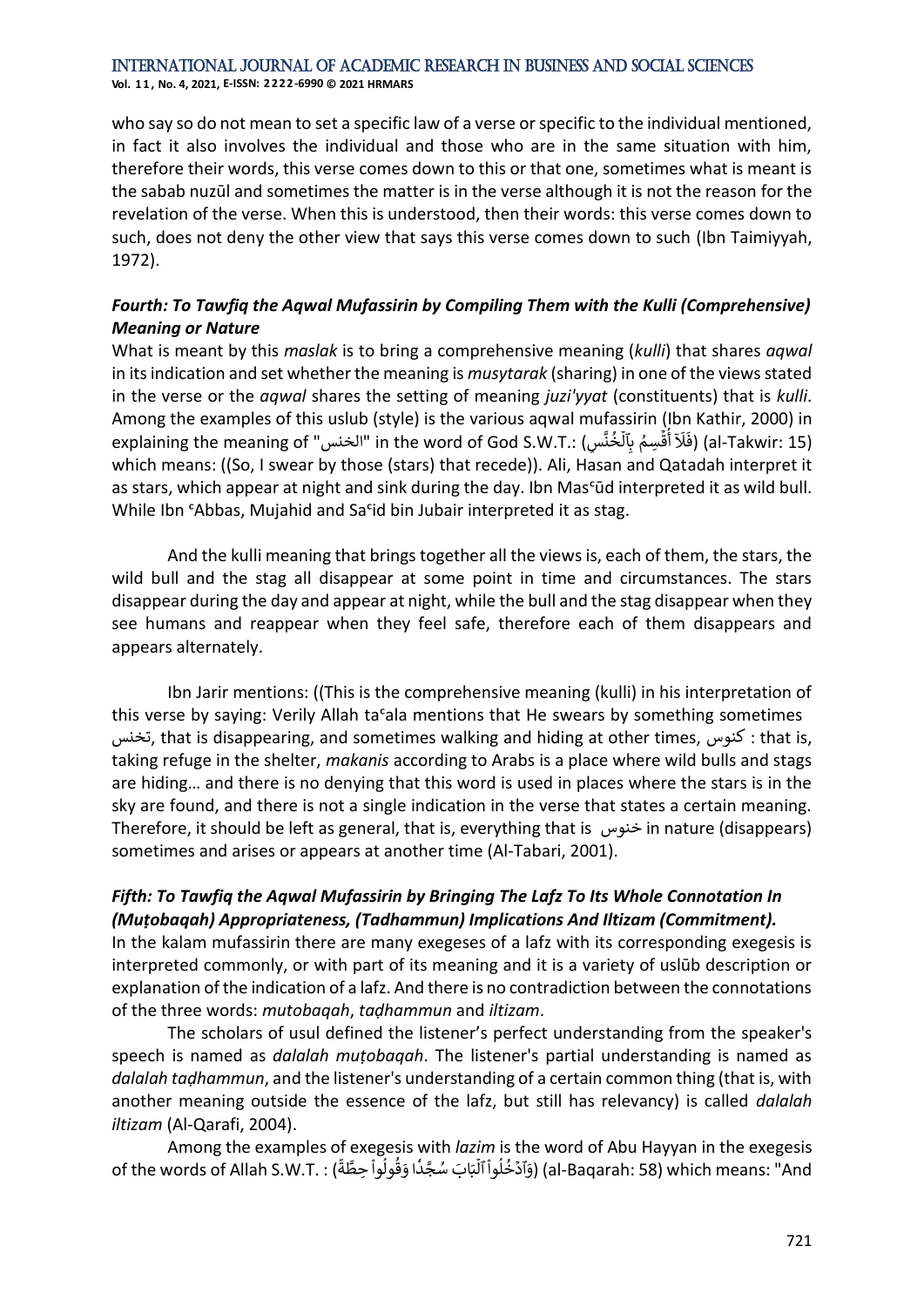**Vol. 1 1 , No. 4, 2021, E-ISSN: 2222-6990 © 2021 HRMARS**

who say so do not mean to set a specific law of a verse or specific to the individual mentioned, in fact it also involves the individual and those who are in the same situation with him, therefore their words, this verse comes down to this or that one, sometimes what is meant is the sabab nuzūl and sometimes the matter is in the verse although it is not the reason for the revelation of the verse. When this is understood, then their words: this verse comes down to such, does not deny the other view that says this verse comes down to such (Ibn Taimiyyah, 1972).

## *Fourth: To Tawfiq the Aqwal Mufassirin by Compiling Them with the Kulli (Comprehensive) Meaning or Nature*

What is meant by this *maslak* is to bring a comprehensive meaning (*kulli*) that shares *aqwal* in its indication and set whether the meaning is *musytarak* (sharing) in one of the views stated in the verse or the *aqwal* shares the setting of meaning *juzi'yyat* (constituents) that is *kulli*. Among the examples of this uslub (style) is the various aqwal mufassirin (Ibn Kathir, 2000) in explaining the meaning of "الخنس "in the word of God S.W.T.: )سِ َّ ن خ ا<br>و ر<br>آ سِمُ بِٱلْا ٍ<br>ہ ا<br>ئا ابابا<br>لَاَ أُقَّ ا<br>پُ أ َل ์<br>: فَ) (al-Takwir: 15) which means: ((So, I swear by those (stars) that recede)). Ali, Hasan and Qatadah interpret it as stars, which appear at night and sink during the day. Ibn Mas<sup>c</sup>ūd interpreted it as wild bull. While Ibn *'Abbas*, Mujahid and Sa<sup>c</sup>id bin Jubair interpreted it as stag.

And the kulli meaning that brings together all the views is, each of them, the stars, the wild bull and the stag all disappear at some point in time and circumstances. The stars disappear during the day and appear at night, while the bull and the stag disappear when they see humans and reappear when they feel safe, therefore each of them disappears and appears alternately.

Ibn Jarir mentions: ((This is the comprehensive meaning (kulli) in his interpretation of this verse by saying: Verily Allah tasala mentions that He swears by something sometimes تخنس, that is disappearing, and sometimes walking and hiding at other times, كنوس : that is, taking refuge in the shelter, *makanis* according to Arabs is a place where wild bulls and stags are hiding… and there is no denying that this word is used in places where the stars is in the sky are found, and there is not a single indication in the verse that states a certain meaning. Therefore, it should be left as general, that is, everything that is خنوس in nature (disappears) sometimes and arises or appears at another time (Al-Tabari, 2001).

## *Fifth: To Tawfiq the Aqwal Mufassirin by Bringing The Lafz To Its Whole Connotation In (Muṭobaqah) Appropriateness, (Tadhammun) Implications And Iltizam (Commitment).*

In the kalam mufassirin there are many exegeses of a lafz with its corresponding exegesis is interpreted commonly, or with part of its meaning and it is a variety of uslūb description or explanation of the indication of a lafz. And there is no contradiction between the connotations of the three words: *mutobaqah*, *taḍhammun* and *iltizam*.

The scholars of usul defined the listener's perfect understanding from the speaker's speech is named as *dalalah muṭobaqah*. The listener's partial understanding is named as *dalalah taḍhammun*, and the listener's understanding of a certain common thing (that is, with another meaning outside the essence of the lafz, but still has relevancy) is called *dalalah iltizam* (Al-Qarafi, 2004).

Among the examples of exegesis with *lazim* is the word of Abu Hayyan in the exegesis of the words of Allah S.W.T. : ( ֦֦֦֦֦֦֦֦֦֦֦֦֚֚֝֝֝֝֝֓֓֕֓֕֓֡֝֓֕֓֡֝֓֡֟֓֡֟֓֡֟֓֡֟֓֡֟ ة َّ ِحط وا ول ق َ ا و د جَّ سُ اب َ َ ب ْ ا<br>ا ្ទ ٗ ا<br>آ والسابعة المستعدد المستعدد المستعدد المستعدد المستعدد المستعدد المستعدد المستعدد<br>(al-Baqarah: 58) which means: "And (وَآدَخُلُواْ ٱلَّا ֦֧֦ ا<br>أ ،<br>۽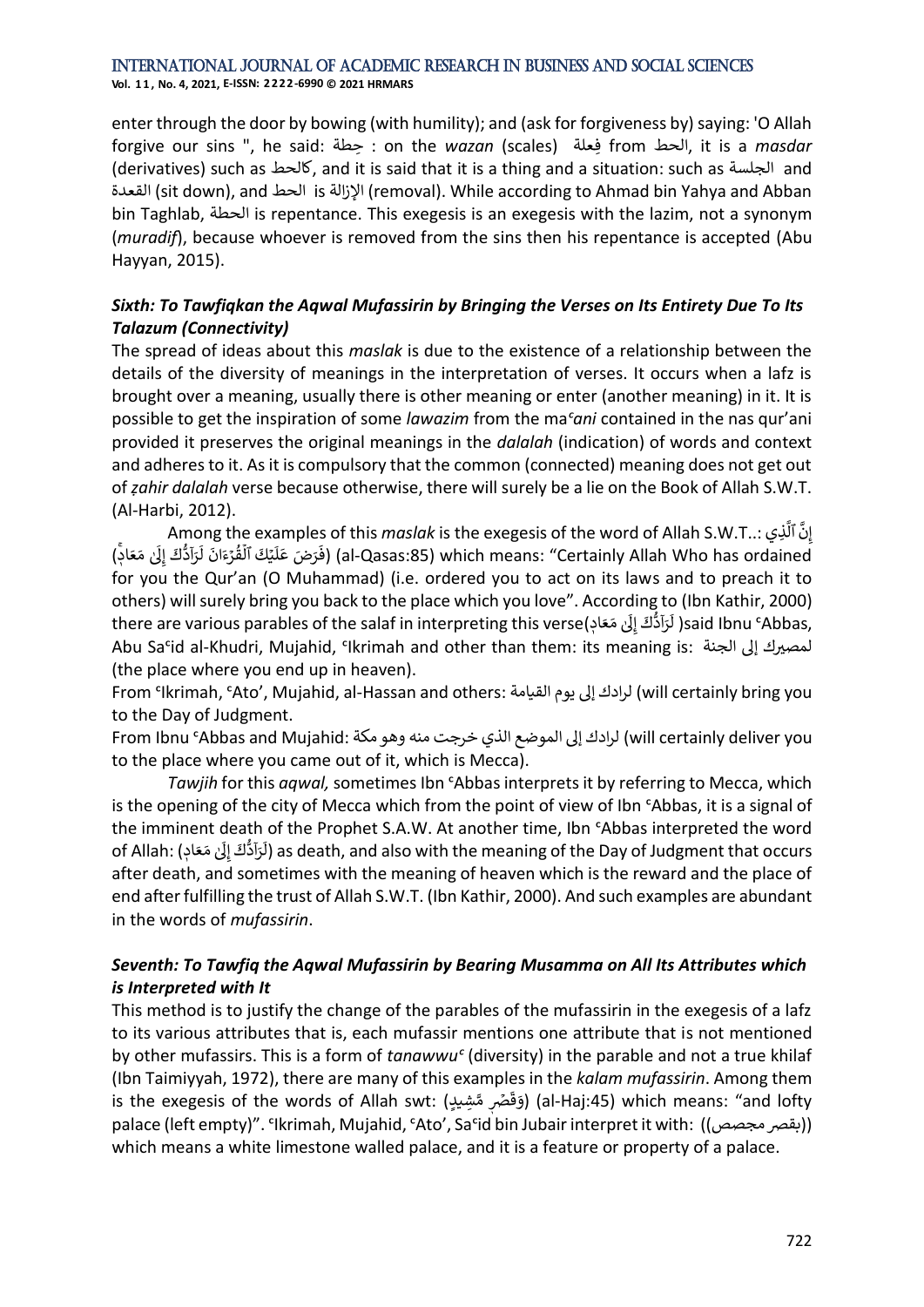**Vol. 1 1 , No. 4, 2021, E-ISSN: 2222-6990 © 2021 HRMARS**

enter through the door by bowing (with humility); and (ask for forgiveness by) saying: 'O Allah forgive our sins ", he said: حطةِ : on the *wazan* (scales( فعلةِ from الحط, it is a *masdar* (derivatives) such as كالحط, and it is said that it is a thing and a situation: such as الجلسة and القعدة( sit down), and الحط is اإلزالة) removal). While according to Ahmad bin Yahya and Abban bin Taghlab, الحطة is repentance. This exegesis is an exegesis with the lazim, not a synonym (*muradif*), because whoever is removed from the sins then his repentance is accepted (Abu Hayyan, 2015).

## *Sixth: To Tawfiqkan the Aqwal Mufassirin by Bringing the Verses on Its Entirety Due To Its Talazum (Connectivity)*

The spread of ideas about this *maslak* is due to the existence of a relationship between the details of the diversity of meanings in the interpretation of verses. It occurs when a lafz is brought over a meaning, usually there is other meaning or enter (another meaning) in it. It is possible to get the inspiration of some *lawazim* from the ma*ᶜani* contained in the nas qur'ani provided it preserves the original meanings in the *dalalah* (indication) of words and context and adheres to it. As it is compulsory that the common (connected) meaning does not get out of *ẓahir dalalah* verse because otherwise, there will surely be a lie on the Book of Allah S.W.T. (Al-Harbi, 2012).

Among the examples of this *maslak* is the exegesis of the word of Allah S.W.T..: ذيِ َ ٱل َّ ِن إ ) ٖۚ ِ<br>إِن مَعَادٖ اناراسہ<br>لَرَآدُّكَ إِلَىٰ إ ا en<br>قُرۡءَانَ لَا '<br>። با<br>أ ...<br>يَكَ ٱلَّ ا<br>آ ampics<br>فَرَضَ عَلَ ف) (al-Qasas:85) which means: "Certainly Allah Who has ordained for you the Qur'an (O Muhammad) (i.e. ordered you to act on its laws and to preach it to others) will surely bring you back to the place which you love". According to (Ibn Kathir, 2000) others, will sarely bring you back to the place which you love . According to<br>لَزَادُّكْ إِلَىٰ مَعَادٖ) there are various parables of the salaf in interpreting this verse ı unış te<br>لَرَاَدُّكَ إِلَىٰ إ ا ل( ) said Ibnu SAbbas, Abu Sa<sup>c</sup>id al-Khudri, Mujahid, 'Ikrimah and other than them: its meaning is: المصيرك إلى الجنة (the place where you end up in heaven).

From ᶜIkrimah, ᶜAto', Mujahid, al-Hassan and others: القيامة يوم لَإ لرادك) will certainly bring you to the Day of Judgment.

you وهو مكة :Mull certainly deliver you لرادك إلى الموضع الذي خرجت منه وهو مكة :From Ibnu ʿAbbas and Mujahid ا to the place where you came out of it, which is Mecca).

*Tawjih* for this *aqwal,* sometimes Ibn ᶜAbbas interprets it by referring to Mecca, which is the opening of the city of Mecca which from the point of view of Ibn ᶜAbbas, it is a signal of the imminent death of the Prophet S.A.W. At another time, Ibn ᶜAbbas interpreted the word rne imminent d<br>ِلَىٰ مَعَادٖ) :of Allah ِ<br>لَرَآدُّكَ إِلَىٰ إ ا  $\mathfrak l$ ) as death, and also with the meaning of the Day of Judgment that occurs after death, and sometimes with the meaning of heaven which is the reward and the place of end after fulfilling the trust of Allah S.W.T. (Ibn Kathir, 2000). And such examples are abundant in the words of *mufassirin*.

## *Seventh: To Tawfiq the Aqwal Mufassirin by Bearing Musamma on All Its Attributes which is Interpreted with It*

This method is to justify the change of the parables of the mufassirin in the exegesis of a lafz to its various attributes that is, each mufassir mentions one attribute that is not mentioned by other mufassirs. This is a form of *tanawwu<sup>c</sup>* (diversity) in the parable and not a true khilaf (Ibn Taimiyyah, 1972), there are many of this examples in the *kalam mufassirin*. Among them is the exegesis of the words of Allah swt: (قَصَّرٖ مَّشِيلٍ ق َ و) )al-Haj:45) which means: "and lofty palace (left empty)". 'Ikrimah, Mujahid, 'Ato', Sa'id bin Jubair interpret it with: ((بقصر مجصص)) which means a white limestone walled palace, and it is a feature or property of a palace.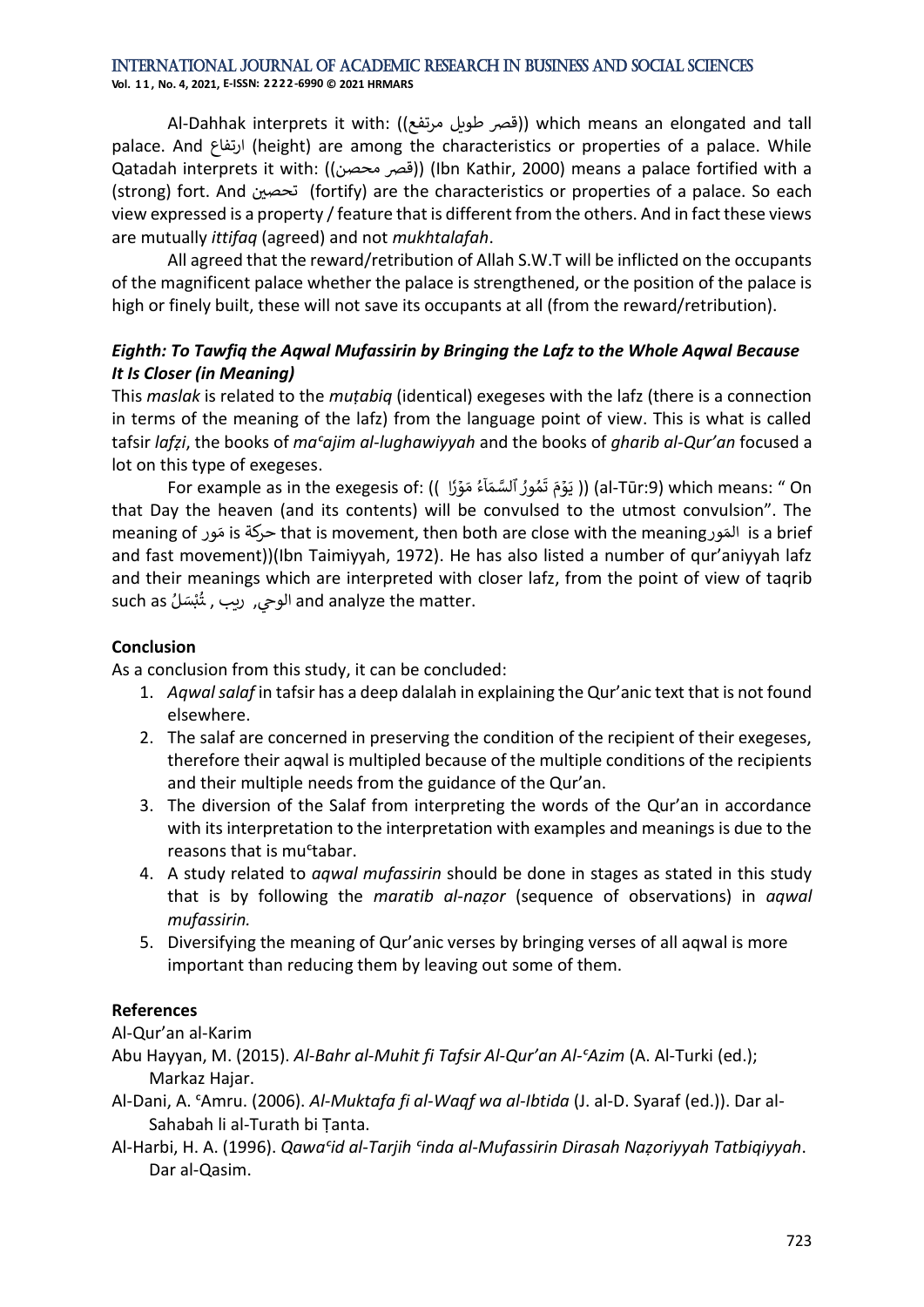**Vol. 1 1 , No. 4, 2021, E-ISSN: 2222-6990 © 2021 HRMARS**

Al-Dahhak interprets it with: ((قصر طويل مرتفع)) which means an elongated and tall palace. And ارتفاع) height) are among the characteristics or properties of a palace. While Qatadah interprets it with: ((قصر محصن)) (Ibn Kathir, 2000) means a palace fortified with a (strong) fort. And تحصين (fortify) are the characteristics or properties of a palace. So each view expressed is a property / feature that is different from the others. And in fact these views are mutually *ittifaq* (agreed) and not *mukhtalafah*.

All agreed that the reward/retribution of Allah S.W.T will be inflicted on the occupants of the magnificent palace whether the palace is strengthened, or the position of the palace is high or finely built, these will not save its occupants at all (from the reward/retribution).

## *Eighth: To Tawfiq the Aqwal Mufassirin by Bringing the Lafz to the Whole Aqwal Because It Is Closer (in Meaning)*

This *maslak* is related to the *muṭabiq* (identical) exegeses with the lafz (there is a connection in terms of the meaning of the lafz) from the language point of view. This is what is called tafsir *lafẓi*, the books of *maᶜajim al-lughawiyyah* and the books of *gharib al-Qur'an* focused a lot on this type of exegeses.

دا (اللَّهُ تَمُورُ ٱلسَّمَاۤءُ مَوۡرٗا )) (al-Tūr:9) which means: " On For example as in the exegesis of: (( ٗ ٍ<br>م و<br>۱ و<br>م that Day the heaven (and its contents) will be convulsed to the utmost convulsion". The .<br>ن المَور that is movement, then both are close with the meaning المَور is a brief and fast movement))(Ibn Taimiyyah, 1972). He has also listed a number of qur'aniyyah lafz and their meanings which are interpreted with closer lafz, from the point of view of taqrib such as ُل سَ ب يح, ريب , ـت الو and analyze the matter. ់<br>**់** ُ

#### **Conclusion**

As a conclusion from this study, it can be concluded:

- 1. *Aqwal salaf* in tafsir has a deep dalalah in explaining the Qur'anic text that is not found elsewhere.
- 2. The salaf are concerned in preserving the condition of the recipient of their exegeses, therefore their aqwal is multipled because of the multiple conditions of the recipients and their multiple needs from the guidance of the Qur'an.
- 3. The diversion of the Salaf from interpreting the words of the Qur'an in accordance with its interpretation to the interpretation with examples and meanings is due to the reasons that is mu<sup>ctabar.</sup>
- 4. A study related to *aqwal mufassirin* should be done in stages as stated in this study that is by following the *maratib al-naẓor* (sequence of observations) in *aqwal mufassirin.*
- 5. Diversifying the meaning of Qur'anic verses by bringing verses of all aqwal is more important than reducing them by leaving out some of them.

## **References**

Al-Qur'an al-Karim

Abu Hayyan, M. (2015). *Al-Bahr al-Muhit fi Tafsir Al-Qur'an Al-ᶜAzim* (A. Al-Turki (ed.); Markaz Hajar.

- Al-Dani, A. ᶜAmru. (2006). *Al-Muktafa fi al-Waqf wa al-Ibtida* (J. al-D. Syaraf (ed.)). Dar al-Sahabah li al-Turath bi Ṭanta.
- Al-Harbi, H. A. (1996). *Qawaᶜid al-Tarjih ᶜinda al-Mufassirin Dirasah Naẓoriyyah Tatbiqiyyah*. Dar al-Qasim.